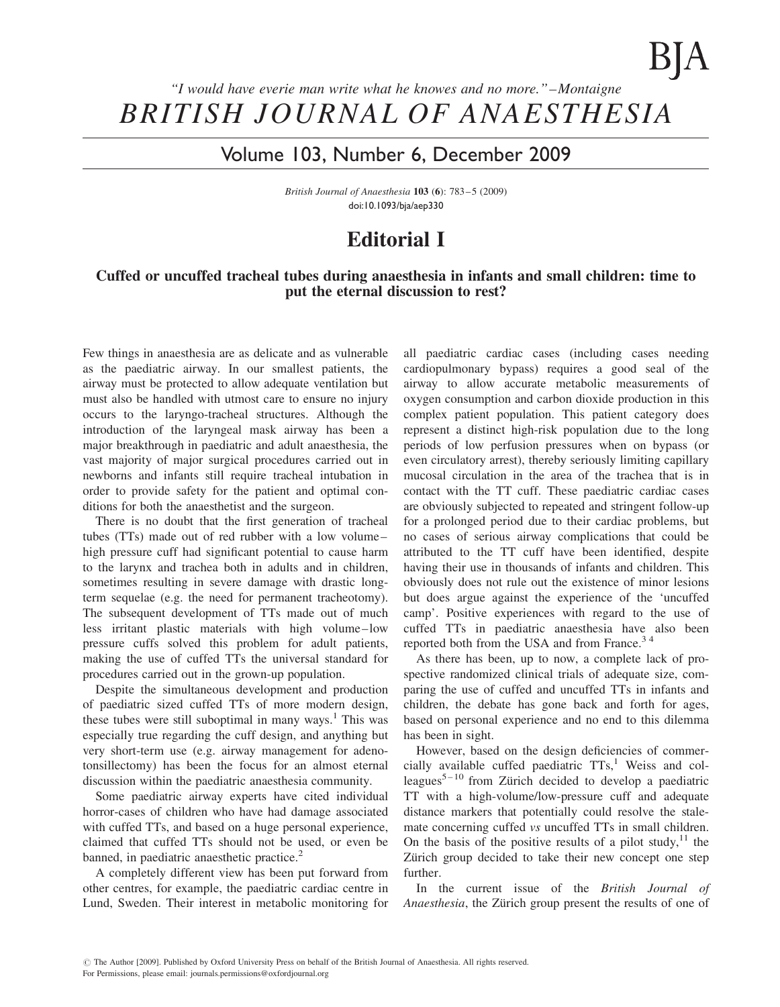# "I would have everie man write what he knowes and no more."–Montaigne BRITISH JOURNAL OF ANAESTHESIA

### Volume 103, Number 6, December 2009

British Journal of Anaesthesia 103 (6): 783–5 (2009) doi:10.1093/bja/aep330

## Editorial I

#### Cuffed or uncuffed tracheal tubes during anaesthesia in infants and small children: time to put the eternal discussion to rest?

Few things in anaesthesia are as delicate and as vulnerable as the paediatric airway. In our smallest patients, the airway must be protected to allow adequate ventilation but must also be handled with utmost care to ensure no injury occurs to the laryngo-tracheal structures. Although the introduction of the laryngeal mask airway has been a major breakthrough in paediatric and adult anaesthesia, the vast majority of major surgical procedures carried out in newborns and infants still require tracheal intubation in order to provide safety for the patient and optimal conditions for both the anaesthetist and the surgeon.

There is no doubt that the first generation of tracheal tubes (TTs) made out of red rubber with a low volume– high pressure cuff had significant potential to cause harm to the larynx and trachea both in adults and in children, sometimes resulting in severe damage with drastic longterm sequelae (e.g. the need for permanent tracheotomy). The subsequent development of TTs made out of much less irritant plastic materials with high volume–low pressure cuffs solved this problem for adult patients, making the use of cuffed TTs the universal standard for procedures carried out in the grown-up population.

Despite the simultaneous development and production of paediatric sized cuffed TTs of more modern design, these tubes were still suboptimal in many ways.<sup>1</sup> This was especially true regarding the cuff design, and anything but very short-term use (e.g. airway management for adenotonsillectomy) has been the focus for an almost eternal discussion within the paediatric anaesthesia community.

Some paediatric airway experts have cited individual horror-cases of children who have had damage associated with cuffed TTs, and based on a huge personal experience, claimed that cuffed TTs should not be used, or even be banned, in paediatric anaesthetic practice.<sup>2</sup>

A completely different view has been put forward from other centres, for example, the paediatric cardiac centre in Lund, Sweden. Their interest in metabolic monitoring for all paediatric cardiac cases (including cases needing cardiopulmonary bypass) requires a good seal of the airway to allow accurate metabolic measurements of oxygen consumption and carbon dioxide production in this complex patient population. This patient category does represent a distinct high-risk population due to the long periods of low perfusion pressures when on bypass (or even circulatory arrest), thereby seriously limiting capillary mucosal circulation in the area of the trachea that is in contact with the TT cuff. These paediatric cardiac cases are obviously subjected to repeated and stringent follow-up for a prolonged period due to their cardiac problems, but no cases of serious airway complications that could be attributed to the TT cuff have been identified, despite having their use in thousands of infants and children. This obviously does not rule out the existence of minor lesions but does argue against the experience of the 'uncuffed camp'. Positive experiences with regard to the use of cuffed TTs in paediatric anaesthesia have also been reported both from the USA and from France.<sup>34</sup>

As there has been, up to now, a complete lack of prospective randomized clinical trials of adequate size, comparing the use of cuffed and uncuffed TTs in infants and children, the debate has gone back and forth for ages, based on personal experience and no end to this dilemma has been in sight.

However, based on the design deficiencies of commercially available cuffed paediatric  $TTs$ ,<sup>1</sup> Weiss and colleagues<sup>5-10</sup> from Zürich decided to develop a paediatric TT with a high-volume/low-pressure cuff and adequate distance markers that potentially could resolve the stalemate concerning cuffed vs uncuffed TTs in small children. On the basis of the positive results of a pilot study,  $11$  the Zürich group decided to take their new concept one step further.

In the current issue of the British Journal of Anaesthesia, the Zürich group present the results of one of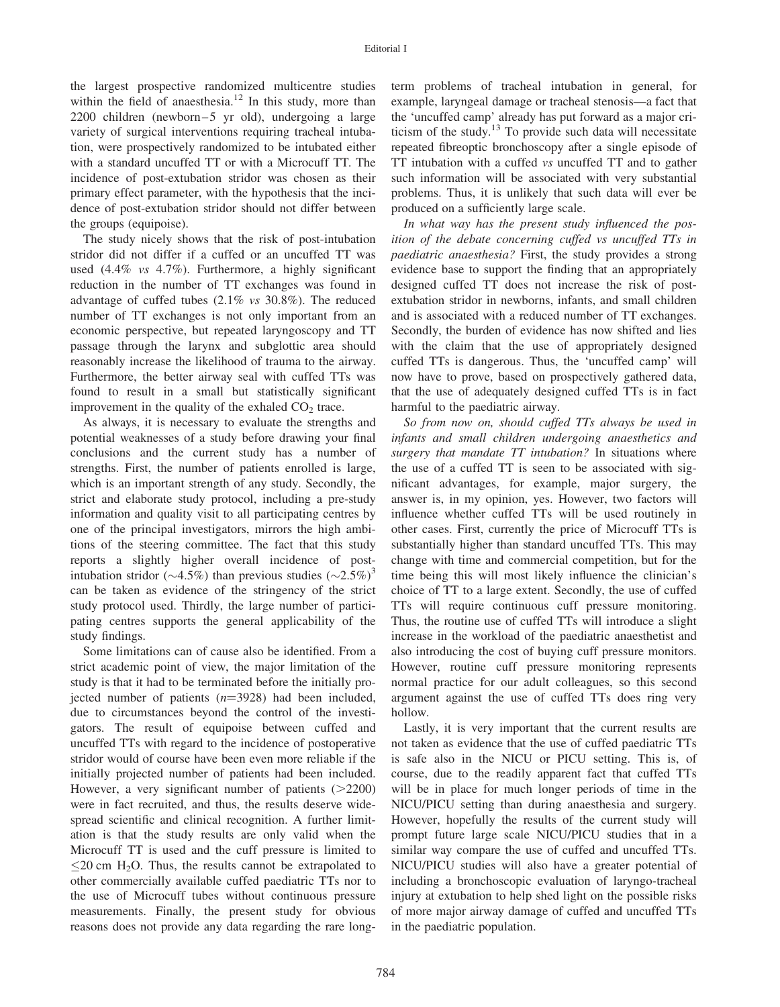the largest prospective randomized multicentre studies within the field of anaesthesia.<sup>12</sup> In this study, more than 2200 children (newborn–5 yr old), undergoing a large variety of surgical interventions requiring tracheal intubation, were prospectively randomized to be intubated either with a standard uncuffed TT or with a Microcuff TT. The incidence of post-extubation stridor was chosen as their primary effect parameter, with the hypothesis that the incidence of post-extubation stridor should not differ between the groups (equipoise).

The study nicely shows that the risk of post-intubation stridor did not differ if a cuffed or an uncuffed TT was used (4.4% vs 4.7%). Furthermore, a highly significant reduction in the number of TT exchanges was found in advantage of cuffed tubes (2.1% vs 30.8%). The reduced number of TT exchanges is not only important from an economic perspective, but repeated laryngoscopy and TT passage through the larynx and subglottic area should reasonably increase the likelihood of trauma to the airway. Furthermore, the better airway seal with cuffed TTs was found to result in a small but statistically significant improvement in the quality of the exhaled  $CO<sub>2</sub>$  trace.

As always, it is necessary to evaluate the strengths and potential weaknesses of a study before drawing your final conclusions and the current study has a number of strengths. First, the number of patients enrolled is large, which is an important strength of any study. Secondly, the strict and elaborate study protocol, including a pre-study information and quality visit to all participating centres by one of the principal investigators, mirrors the high ambitions of the steering committee. The fact that this study reports a slightly higher overall incidence of postintubation stridor ( $\sim$ 4.5%) than previous studies ( $\sim$ 2.5%)<sup>3</sup> can be taken as evidence of the stringency of the strict study protocol used. Thirdly, the large number of participating centres supports the general applicability of the study findings.

Some limitations can of cause also be identified. From a strict academic point of view, the major limitation of the study is that it had to be terminated before the initially projected number of patients  $(n=3928)$  had been included, due to circumstances beyond the control of the investigators. The result of equipoise between cuffed and uncuffed TTs with regard to the incidence of postoperative stridor would of course have been even more reliable if the initially projected number of patients had been included. However, a very significant number of patients  $(>2200)$ were in fact recruited, and thus, the results deserve widespread scientific and clinical recognition. A further limitation is that the study results are only valid when the Microcuff TT is used and the cuff pressure is limited to  $\leq$ 20 cm H<sub>2</sub>O. Thus, the results cannot be extrapolated to other commercially available cuffed paediatric TTs nor to the use of Microcuff tubes without continuous pressure measurements. Finally, the present study for obvious reasons does not provide any data regarding the rare longterm problems of tracheal intubation in general, for example, laryngeal damage or tracheal stenosis—a fact that the 'uncuffed camp' already has put forward as a major criticism of the study. $13$  To provide such data will necessitate repeated fibreoptic bronchoscopy after a single episode of TT intubation with a cuffed vs uncuffed TT and to gather such information will be associated with very substantial problems. Thus, it is unlikely that such data will ever be produced on a sufficiently large scale.

In what way has the present study influenced the position of the debate concerning cuffed vs uncuffed TTs in paediatric anaesthesia? First, the study provides a strong evidence base to support the finding that an appropriately designed cuffed TT does not increase the risk of postextubation stridor in newborns, infants, and small children and is associated with a reduced number of TT exchanges. Secondly, the burden of evidence has now shifted and lies with the claim that the use of appropriately designed cuffed TTs is dangerous. Thus, the 'uncuffed camp' will now have to prove, based on prospectively gathered data, that the use of adequately designed cuffed TTs is in fact harmful to the paediatric airway.

So from now on, should cuffed TTs always be used in infants and small children undergoing anaesthetics and surgery that mandate TT intubation? In situations where the use of a cuffed TT is seen to be associated with significant advantages, for example, major surgery, the answer is, in my opinion, yes. However, two factors will influence whether cuffed TTs will be used routinely in other cases. First, currently the price of Microcuff TTs is substantially higher than standard uncuffed TTs. This may change with time and commercial competition, but for the time being this will most likely influence the clinician's choice of TT to a large extent. Secondly, the use of cuffed TTs will require continuous cuff pressure monitoring. Thus, the routine use of cuffed TTs will introduce a slight increase in the workload of the paediatric anaesthetist and also introducing the cost of buying cuff pressure monitors. However, routine cuff pressure monitoring represents normal practice for our adult colleagues, so this second argument against the use of cuffed TTs does ring very hollow.

Lastly, it is very important that the current results are not taken as evidence that the use of cuffed paediatric TTs is safe also in the NICU or PICU setting. This is, of course, due to the readily apparent fact that cuffed TTs will be in place for much longer periods of time in the NICU/PICU setting than during anaesthesia and surgery. However, hopefully the results of the current study will prompt future large scale NICU/PICU studies that in a similar way compare the use of cuffed and uncuffed TTs. NICU/PICU studies will also have a greater potential of including a bronchoscopic evaluation of laryngo-tracheal injury at extubation to help shed light on the possible risks of more major airway damage of cuffed and uncuffed TTs in the paediatric population.